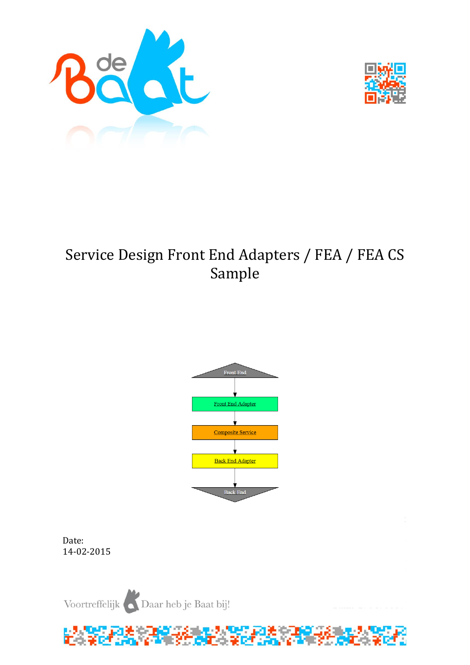



# Service Design Front End Adapters / FEA / FEA CS Sample



Date: 14-02-2015

Voortreffelijk Daar heb je Baat bij!

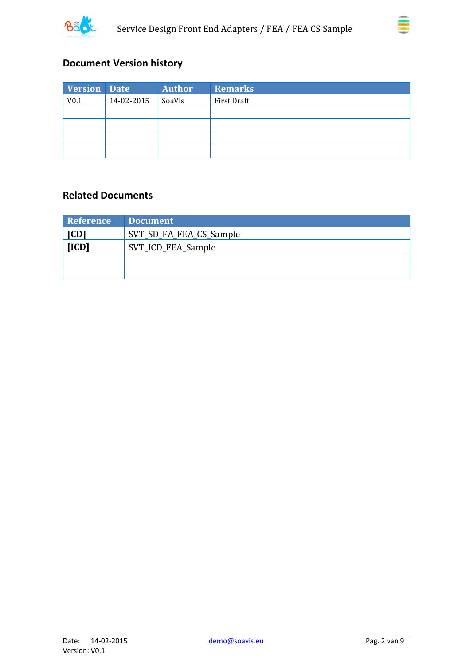



# **Document Version history**

| Version Date     |            | <b>Author</b> | <b>Remarks</b> |
|------------------|------------|---------------|----------------|
| V <sub>0.1</sub> | 14-02-2015 | SoaVis        | First Draft    |
|                  |            |               |                |
|                  |            |               |                |
|                  |            |               |                |
|                  |            |               |                |

### **Related Documents**

| <b>Reference</b>                | Document |
|---------------------------------|----------|
| [CD]<br>SVT_SD_FA_FEA_CS_Sample |          |
| [ICD]<br>SVT_ICD_FEA_Sample     |          |
|                                 |          |
|                                 |          |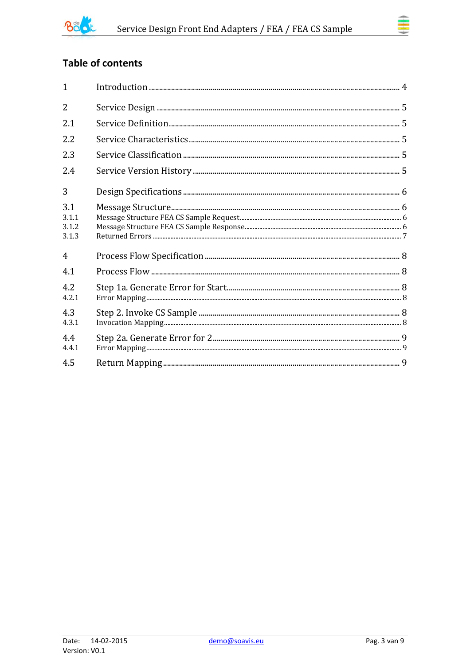

# **Table of contents**

| $\mathbf{1}$                   |  |
|--------------------------------|--|
| $\overline{2}$                 |  |
| 2.1                            |  |
| 2.2                            |  |
| 2.3                            |  |
| 2.4                            |  |
| 3                              |  |
| 3.1<br>3.1.1<br>3.1.2<br>3.1.3 |  |
| $\overline{4}$                 |  |
| 4.1                            |  |
| 4.2<br>4.2.1                   |  |
| 4.3<br>4.3.1                   |  |
| 4.4<br>4.4.1                   |  |
| 4.5                            |  |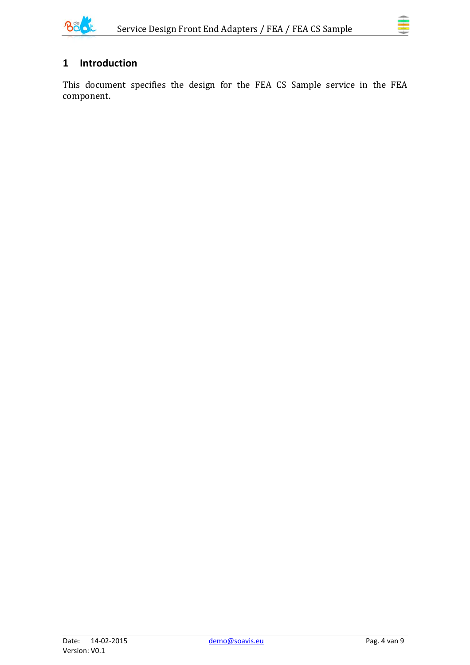

# <span id="page-3-0"></span>**1 Introduction**

This document specifies the design for the FEA CS Sample service in the FEA component.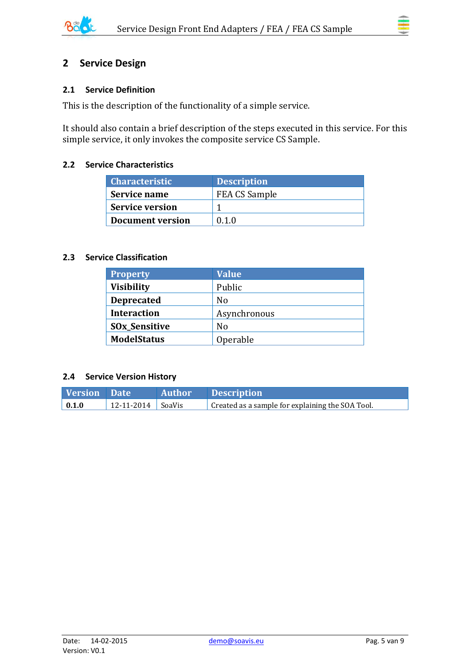

### <span id="page-4-0"></span>**2 Service Design**

#### <span id="page-4-1"></span>**2.1 Service Definition**

This is the description of the functionality of a simple service.

It should also contain a brief description of the steps executed in this service. For this simple service, it only invokes the composite service CS Sample.

#### <span id="page-4-2"></span>**2.2 Service Characteristics**

| <b>Characteristic</b>   | <b>Description</b>   |
|-------------------------|----------------------|
| Service name            | <b>FEA CS Sample</b> |
| <b>Service version</b>  |                      |
| <b>Document version</b> | 0 1 0                |

#### <span id="page-4-3"></span>**2.3 Service Classification**

| <b>Property</b>                 | <b>Value</b>   |
|---------------------------------|----------------|
| <b>Visibility</b>               | Public         |
| <b>Deprecated</b>               | N <sub>0</sub> |
| <b>Interaction</b>              | Asynchronous   |
| <b>SO<sub>x</sub>_Sensitive</b> | No             |
| <b>ModelStatus</b>              | Operable       |

#### <span id="page-4-4"></span>**2.4 Service Version History**

| <b>Version</b> Date |                       | Author Description                               |
|---------------------|-----------------------|--------------------------------------------------|
| $\vert 0.1.0 \vert$ | $12-11-2014$   SoaVis | Created as a sample for explaining the SOA Tool. |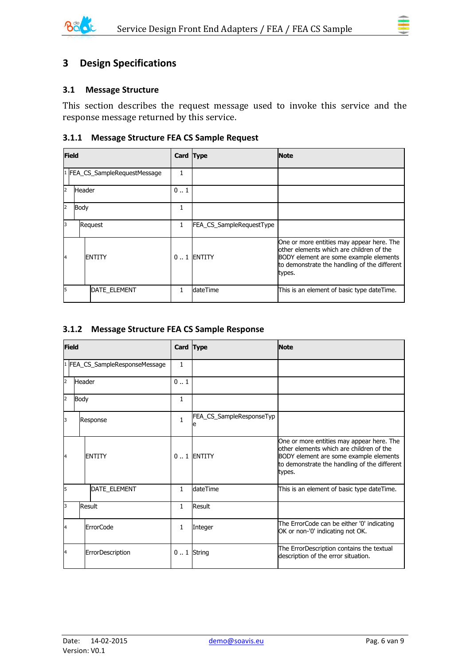

# <span id="page-5-0"></span>**3 Design Specifications**

#### <span id="page-5-1"></span>**3.1 Message Structure**

This section describes the request message used to invoke this service and the response message returned by this service.

#### <span id="page-5-2"></span>**3.1.1 Message Structure FEA CS Sample Request**

|                | <b>Field</b> |                               |              | Card Type                | <b>Note</b>                                                                                                                                                                               |
|----------------|--------------|-------------------------------|--------------|--------------------------|-------------------------------------------------------------------------------------------------------------------------------------------------------------------------------------------|
|                |              | 1 FEA_CS_SampleRequestMessage |              |                          |                                                                                                                                                                                           |
| $\overline{2}$ | Header       |                               | 01           |                          |                                                                                                                                                                                           |
| $\overline{2}$ | Body         |                               |              |                          |                                                                                                                                                                                           |
| Iз             | Request      |                               | $\mathbf{1}$ | FEA CS_SampleRequestType |                                                                                                                                                                                           |
| 14             |              | <b>ENTITY</b>                 |              | $0.1$ ENTITY             | One or more entities may appear here. The<br>other elements which are children of the<br>BODY element are some example elements<br>to demonstrate the handling of the different<br>types. |
| l5             |              | <b>DATE ELEMENT</b>           |              | ldateTime                | This is an element of basic type dateTime.                                                                                                                                                |

#### <span id="page-5-3"></span>**3.1.2 Message Structure FEA CS Sample Response**

| <b>Field</b>   |        |                                | Card Type    |                               | <b>Note</b>                                                                                                                                                                               |
|----------------|--------|--------------------------------|--------------|-------------------------------|-------------------------------------------------------------------------------------------------------------------------------------------------------------------------------------------|
|                |        | 1 FEA_CS_SampleResponseMessage | $\mathbf{1}$ |                               |                                                                                                                                                                                           |
| $\overline{2}$ | Header |                                | 01           |                               |                                                                                                                                                                                           |
| 2              | Body   |                                | $\mathbf{1}$ |                               |                                                                                                                                                                                           |
| 3              |        | Response                       | $\mathbf{1}$ | FEA_CS_SampleResponseTyp<br>e |                                                                                                                                                                                           |
| $\overline{a}$ |        | <b>FNTITY</b>                  |              | $0.1$ ENTITY                  | One or more entities may appear here. The<br>other elements which are children of the<br>BODY element are some example elements<br>to demonstrate the handling of the different<br>types. |
| 5              |        | DATE_ELEMENT                   | $\mathbf{1}$ | dateTime                      | This is an element of basic type dateTime.                                                                                                                                                |
| l3             |        | Result                         | $\mathbf{1}$ | Result                        |                                                                                                                                                                                           |
| 4              |        | <b>ErrorCode</b>               | $\mathbf{1}$ | Integer                       | The ErrorCode can be either '0' indicating<br>OK or non-'0' indicating not OK.                                                                                                            |
| 4              |        | ErrorDescription               |              | $0.1$ String                  | The ErrorDescription contains the textual<br>description of the error situation.                                                                                                          |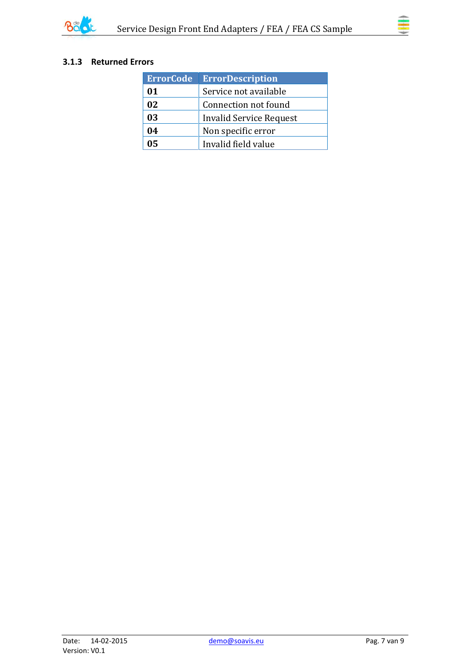

### <span id="page-6-0"></span>**3.1.3 Returned Errors**

| <b>ErrorCode</b> | <b>ErrorDescription</b> |
|------------------|-------------------------|
| 01               | Service not available   |
| 02               | Connection not found    |
| 03               | Invalid Service Request |
| 04               | Non specific error      |
| 05               | Invalid field value     |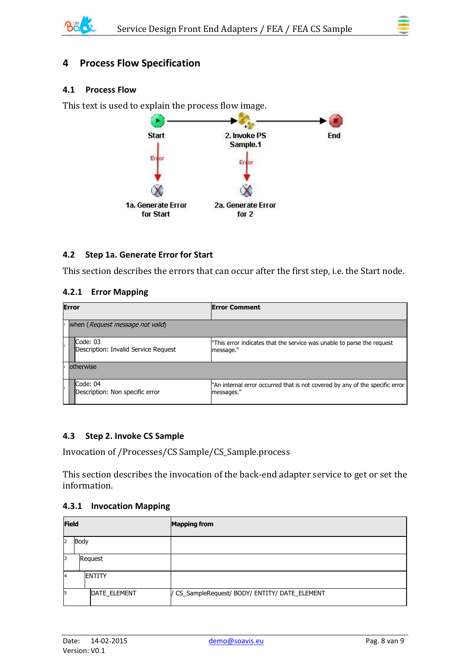

## <span id="page-7-0"></span>**4 Process Flow Specification**

#### <span id="page-7-1"></span>**4.1 Process Flow**

This text is used to explain the process flow image.



#### <span id="page-7-2"></span>**4.2 Step 1a. Generate Error for Start**

This section describes the errors that can occur after the first step, i.e. the Start node.

#### <span id="page-7-3"></span>**4.2.1 Error Mapping**

| <b>Error</b>                                     | <b>Error Comment</b>                                                                       |  |  |
|--------------------------------------------------|--------------------------------------------------------------------------------------------|--|--|
| when (Request message not valid)                 |                                                                                            |  |  |
| Code: 03<br>Description: Invalid Service Request | "This error indicates that the service was unable to parse the request<br>message."        |  |  |
| otherwise                                        |                                                                                            |  |  |
| Code: 04<br>Description: Non specific error      | "An internal error occurred that is not covered by any of the specific error<br>messages." |  |  |

#### <span id="page-7-4"></span>**4.3 Step 2. Invoke CS Sample**

Invocation of /Processes/CS Sample/CS\_Sample.process

This section describes the invocation of the back-end adapter service to get or set the information.

#### <span id="page-7-5"></span>**4.3.1 Invocation Mapping**

|                | <b>Field</b> |               | <b>Mapping from</b>                            |
|----------------|--------------|---------------|------------------------------------------------|
| $\overline{2}$ | Body         |               |                                                |
| 3              |              | Request       |                                                |
| $\overline{A}$ |              | <b>ENTITY</b> |                                                |
| 5              |              | DATE_ELEMENT  | / CS_SampleRequest/ BODY/ ENTITY/ DATE_ELEMENT |